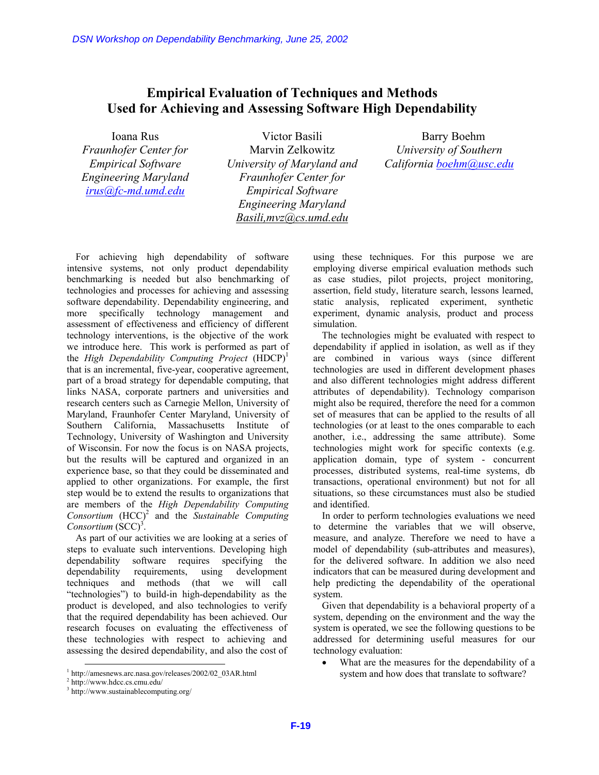## **Empirical Evaluation of Techniques and Methods Used for Achieving and Assessing Software High Dependability**

Ioana Rus

*Fraunhofer Center for Empirical Software Engineering Maryland irus@fc-md.umd.edu*

Victor Basili Marvin Zelkowitz *University of Maryland and Fraunhofer Center for Empirical Software Engineering Maryland Basili,mvz@cs.umd.edu*

Barry Boehm *University of Southern California boehm@usc.edu*

For achieving high dependability of software intensive systems, not only product dependability benchmarking is needed but also benchmarking of technologies and processes for achieving and assessing software dependability. Dependability engineering, and more specifically technology management and assessment of effectiveness and efficiency of different technology interventions, is the objective of the work we introduce here. This work is performed as part of the *High Dependability Computing Project* (HDCP)<sup>1</sup> that is an incremental, five-year, cooperative agreement, part of a broad strategy for dependable computing, that links NASA, corporate partners and universities and research centers such as Carnegie Mellon, University of Maryland, Fraunhofer Center Maryland, University of Southern California, Massachusetts Institute of Technology, University of Washington and University of Wisconsin. For now the focus is on NASA projects, but the results will be captured and organized in an experience base, so that they could be disseminated and applied to other organizations. For example, the first step would be to extend the results to organizations that are members of the *High Dependability Computing*  Consortium (HCC)<sup>2</sup> and the *Sustainable Computing* Consortium (SCC)<sup>3</sup>. DSN Workshop on Dependability Benchmarking, June 25, 2002<br> **Empirical Evaluation of Techniqu**<br>
Used for Achieving and Assessing Softwa<br>
Iona Rus<br>
Traumbeler Center for Marini Zelkowitz<br> *F-myrical Software*<br> *F-myrical Sof* 

As part of our activities we are looking at a series of steps to evaluate such interventions. Developing high dependability software requires specifying the dependability requirements, using development techniques and methods (that we will call "technologies") to build-in high-dependability as the product is developed, and also technologies to verify that the required dependability has been achieved. Our research focuses on evaluating the effectiveness of these technologies with respect to achieving and assessing the desired dependability, and also the cost of

using these techniques. For this purpose we are employing diverse empirical evaluation methods such as case studies, pilot projects, project monitoring, assertion, field study, literature search, lessons learned, static analysis, replicated experiment, synthetic experiment, dynamic analysis, product and process simulation.

The technologies might be evaluated with respect to dependability if applied in isolation, as well as if they are combined in various ways (since different technologies are used in different development phases and also different technologies might address different attributes of dependability). Technology comparison might also be required, therefore the need for a common set of measures that can be applied to the results of all technologies (or at least to the ones comparable to each another, i.e., addressing the same attribute). Some technologies might work for specific contexts (e.g. application domain, type of system - concurrent processes, distributed systems, real-time systems, db transactions, operational environment) but not for all situations, so these circumstances must also be studied and identified.

In order to perform technologies evaluations we need to determine the variables that we will observe, measure, and analyze. Therefore we need to have a model of dependability (sub-attributes and measures), for the delivered software. In addition we also need indicators that can be measured during development and help predicting the dependability of the operational system.

Given that dependability is a behavioral property of a system, depending on the environment and the way the system is operated, we see the following questions to be addressed for determining useful measures for our technology evaluation:

What are the measures for the dependability of a system and how does that translate to software?

 <sup>1</sup> http://amesnews.arc.nasa.gov/releases/2002/02\_03AR.html

<sup>2</sup> http://www.hdcc.cs.cmu.edu/

<sup>3</sup> http://www.sustainablecomputing.org/